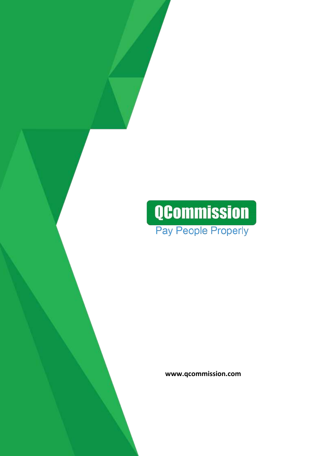# **QCommission** Pay People Properly

 **www.qcommission.com**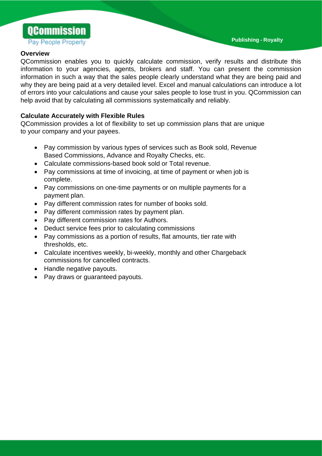**Publishing - Royalty**



#### **Overview**

QCommission enables you to quickly calculate commission, verify results and distribute this information to your agencies, agents, brokers and staff. You can present the commission information in such a way that the sales people clearly understand what they are being paid and why they are being paid at a very detailed level. Excel and manual calculations can introduce a lot of errors into your calculations and cause your sales people to lose trust in you. QCommission can help avoid that by calculating all commissions systematically and reliably.

# **Calculate Accurately with Flexible Rules**

QCommission provides a lot of flexibility to set up commission plans that are unique to your company and your payees.

- Pay commission by various types of services such as Book sold, Revenue Based Commissions, Advance and Royalty Checks, etc.
- Calculate commissions-based book sold or Total revenue.
- Pay commissions at time of invoicing, at time of payment or when job is complete.
- Pay commissions on one-time payments or on multiple payments for a payment plan.
- Pay different commission rates for number of books sold.
- Pay different commission rates by payment plan.
- Pay different commission rates for Authors.
- Deduct service fees prior to calculating commissions
- Pay commissions as a portion of results, flat amounts, tier rate with thresholds, etc.
- Calculate incentives weekly, bi-weekly, monthly and other Chargeback commissions for cancelled contracts.
- Handle negative payouts.
- Pay draws or guaranteed payouts.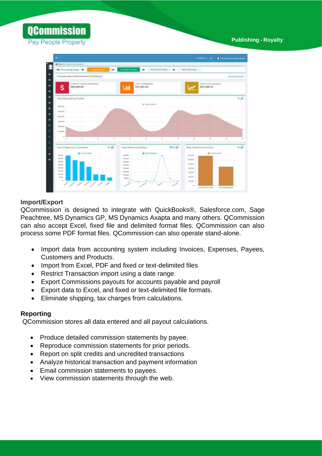**QCommission** Pay People Properly

 **Publishing - Royalty**



## **Import/Export**

QCommission is designed to integrate with QuickBooks®, Salesforce.com, Sage Peachtree, MS Dynamics GP, MS Dynamics Axapta and many others. QCommission can also accept Excel, fixed file and delimited format files. QCommission can also process some PDF format files. QCommission can also operate stand-alone.

- Import data from accounting system including Invoices, Expenses, Payees, Customers and Products.
- Import from Excel, PDF and fixed or text-delimited files
- Restrict Transaction import using a date range.
- Export Commissions payouts for accounts payable and payroll
- Export data to Excel, and fixed or text-delimited file formats.
- Eliminate shipping, tax charges from calculations.

## **Reporting**

QCommission stores all data entered and all payout calculations.

- Produce detailed commission statements by payee.
- Reproduce commission statements for prior periods.
- Report on split credits and uncredited transactions
- Analyze historical transaction and payment information
- Email commission statements to payees.
- View commission statements through the web.